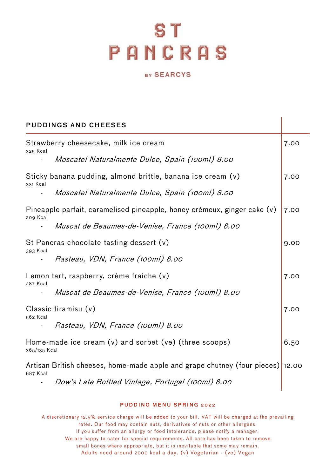## S T **PANCRAS**

## BY SEARCYS

| <b>PUDDINGS AND CHEESES</b>                                                |                                                                                |      |
|----------------------------------------------------------------------------|--------------------------------------------------------------------------------|------|
| Strawberry cheesecake, milk ice cream<br>325 Kcal                          |                                                                                | 7.00 |
|                                                                            | Moscatel Naturalmente Dulce, Spain (100ml) 8.00                                |      |
| 331 Kcal                                                                   | Sticky banana pudding, almond brittle, banana ice cream (v)                    | 7.00 |
| $\overline{\phantom{a}}$                                                   | Moscatel Naturalmente Dulce, Spain (100ml) 8.00                                |      |
| 209 Kcal                                                                   | Pineapple parfait, caramelised pineapple, honey crémeux, ginger cake (v)       | 7.00 |
|                                                                            | Muscat de Beaumes-de-Venise, France (100ml) 8.00                               |      |
| 393 Kcal                                                                   | St Pancras chocolate tasting dessert (v)                                       | 9.00 |
|                                                                            | Rasteau, VDN, France (100ml) 8.00                                              |      |
| 287 Kcal                                                                   | Lemon tart, raspberry, crème fraiche (v)                                       | 7.00 |
| $\blacksquare$                                                             | Muscat de Beaumes-de-Venise, France (100ml) 8.00                               |      |
| 562 Kcal                                                                   | Classic tiramisu (v)                                                           | 7.00 |
|                                                                            | Rasteau, VDN, France (100ml) 8.00                                              |      |
| Home-made ice cream $(v)$ and sorbet $(ve)$ (three scoops)<br>365/135 Kcal |                                                                                | 6.50 |
| 687 Kcal                                                                   | Artisan British cheeses, home-made apple and grape chutney (four pieces) 12.00 |      |
|                                                                            | Dow's Late Bottled Vintage, Portugal (100ml) 8.00                              |      |

## PUDDING MENU SPRING 2022

A discretionary 12.5% service charge will be added to your bill. VAT will be charged at the prevailing rates. Our food may contain nuts, derivatives of nuts or other allergens. If you suffer from an allergy or food intolerance, please notify a manager. We are happy to cater for special requirements. All care has been taken to remove small bones where appropriate, but it is inevitable that some may remain. Adults need around 2000 kcal a day. (v) Vegetarian - (ve) Vegan